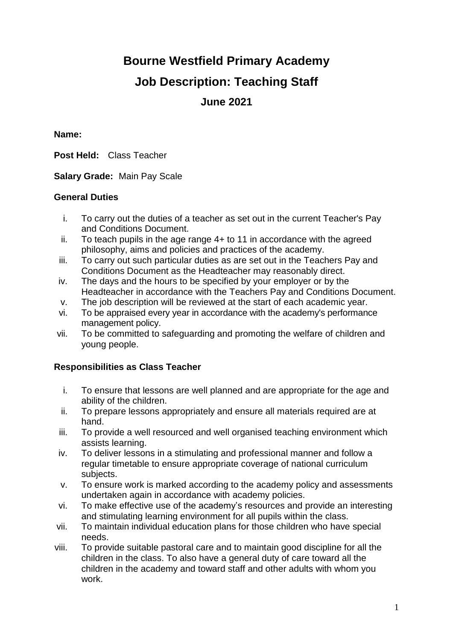# **Bourne Westfield Primary Academy**

# **Job Description: Teaching Staff**

# **June 2021**

#### **Name:**

**Post Held:** Class Teacher

**Salary Grade:** Main Pay Scale

### **General Duties**

- i. To carry out the duties of a teacher as set out in the current Teacher's Pay and Conditions Document.
- ii. To teach pupils in the age range 4+ to 11 in accordance with the agreed philosophy, aims and policies and practices of the academy.
- iii. To carry out such particular duties as are set out in the Teachers Pay and Conditions Document as the Headteacher may reasonably direct.
- iv. The days and the hours to be specified by your employer or by the Headteacher in accordance with the Teachers Pay and Conditions Document.
- v. The job description will be reviewed at the start of each academic year.
- vi. To be appraised every year in accordance with the academy's performance management policy.
- vii. To be committed to safeguarding and promoting the welfare of children and young people.

## **Responsibilities as Class Teacher**

- i. To ensure that lessons are well planned and are appropriate for the age and ability of the children.
- ii. To prepare lessons appropriately and ensure all materials required are at hand.
- iii. To provide a well resourced and well organised teaching environment which assists learning.
- iv. To deliver lessons in a stimulating and professional manner and follow a regular timetable to ensure appropriate coverage of national curriculum subjects.
- v. To ensure work is marked according to the academy policy and assessments undertaken again in accordance with academy policies.
- vi. To make effective use of the academy's resources and provide an interesting and stimulating learning environment for all pupils within the class.
- vii. To maintain individual education plans for those children who have special needs.
- viii. To provide suitable pastoral care and to maintain good discipline for all the children in the class. To also have a general duty of care toward all the children in the academy and toward staff and other adults with whom you work.